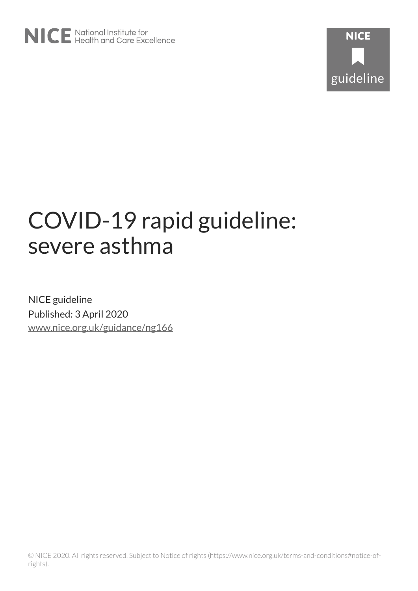# COVID-19 rapid guideline: severe asthma

NICE guideline Published: 3 April 2020 [www.nice.org.uk/guidance/ng166](https://www.nice.org.uk/guidance/ng166)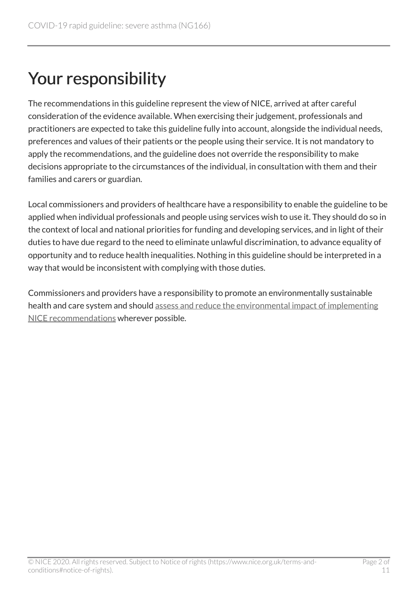# Your responsibility

The recommendations in this guideline represent the view of NICE, arrived at after careful consideration of the evidence available. When exercising their judgement, professionals and practitioners are expected to take this guideline fully into account, alongside the individual needs, preferences and values of their patients or the people using their service. It is not mandatory to apply the recommendations, and the guideline does not override the responsibility to make decisions appropriate to the circumstances of the individual, in consultation with them and their families and carers or guardian.

Local commissioners and providers of healthcare have a responsibility to enable the guideline to be applied when individual professionals and people using services wish to use it. They should do so in the context of local and national priorities for funding and developing services, and in light of their duties to have due regard to the need to eliminate unlawful discrimination, to advance equality of opportunity and to reduce health inequalities. Nothing in this guideline should be interpreted in a way that would be inconsistent with complying with those duties.

Commissioners and providers have a responsibility to promote an environmentally sustainable health and care system and should [assess and reduce the environmental impact of implementing](https://www.nice.org.uk/about/who-we-are/sustainability)  [NICE recommendations](https://www.nice.org.uk/about/who-we-are/sustainability) wherever possible.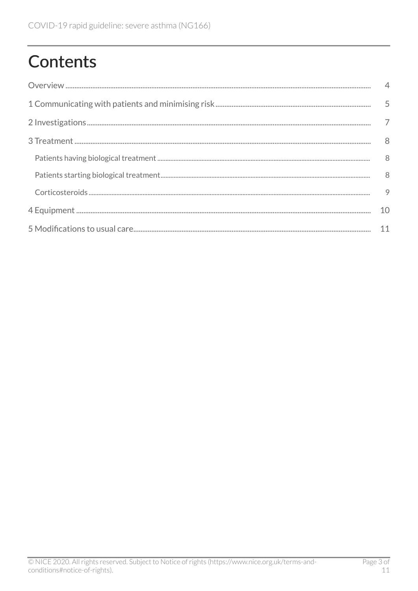# **Contents**

| $\overline{4}$ |
|----------------|
|                |
|                |
| 8              |
| 8              |
| 8 <sup>8</sup> |
| 9              |
| 10             |
| 11             |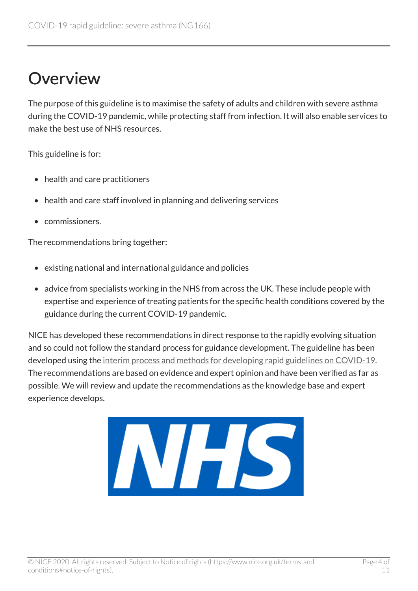### <span id="page-3-0"></span>**Overview**

The purpose of this guideline is to maximise the safety of adults and children with severe asthma during the COVID-19 pandemic, while protecting staff from infection. It will also enable services to make the best use of NHS resources.

This guideline is for:

- health and care practitioners
- health and care staff involved in planning and delivering services
- commissioners.

The recommendations bring together:

- existing national and international guidance and policies
- advice from specialists working in the NHS from across the UK. These include people with expertise and experience of treating patients for the specific health conditions covered by the guidance during the current COVID-19 pandemic.

NICE has developed these recommendations in direct response to the rapidly evolving situation and so could not follow the standard process for guidance development. The guideline has been developed using the [interim process and methods for developing rapid guidelines on COVID-19](https://www.nice.org.uk/process/pmg35). The recommendations are based on evidence and expert opinion and have been verified as far as possible. We will review and update the recommendations as the knowledge base and expert experience develops.

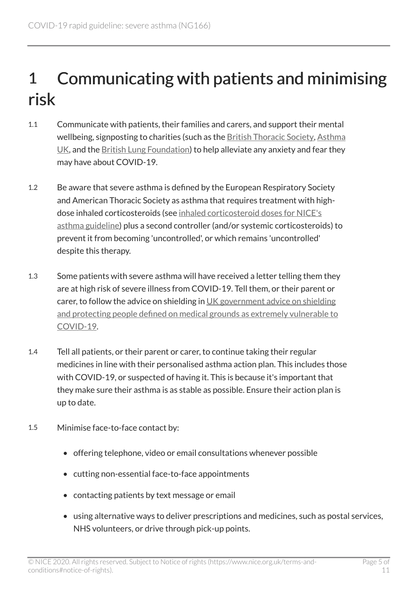## <span id="page-4-0"></span>1 Communicating with patients and minimising risk

- 1.1 Communicate with patients, their families and carers, and support their mental wellbeing, signposting to charities (such as the [British Thoracic Society](https://www.brit-thoracic.org.uk/), [Asthma](https://www.asthma.org.uk/) [UK](https://www.asthma.org.uk/), and the [British Lung Foundation](https://www.blf.org.uk/)) to help alleviate any anxiety and fear they may have about COVID-19.
- 1.2 Be aware that severe asthma is defined by the European Respiratory Society and American Thoracic Society as asthma that requires treatment with highdose inhaled corticosteroids (see [inhaled corticosteroid doses for NICE's](https://www.nice.org.uk/guidance/ng80/resources/inhaled-corticosteroid-doses-pdf-4731528781) [asthma guideline\)](https://www.nice.org.uk/guidance/ng80/resources/inhaled-corticosteroid-doses-pdf-4731528781) plus a second controller (and/or systemic corticosteroids) to prevent it from becoming 'uncontrolled', or which remains 'uncontrolled' despite this therapy.
- 1.3 Some patients with severe asthma will have received a letter telling them they are at high risk of severe illness from COVID-19. Tell them, or their parent or carer, to follow the advice on shielding in [UK government advice on shielding](https://www.gov.uk/government/publications/guidance-on-shielding-and-protecting-extremely-vulnerable-persons-from-covid-19) [and protecting people defined on medical grounds as extremely vulnerable to](https://www.gov.uk/government/publications/guidance-on-shielding-and-protecting-extremely-vulnerable-persons-from-covid-19)  [COVID-19.](https://www.gov.uk/government/publications/guidance-on-shielding-and-protecting-extremely-vulnerable-persons-from-covid-19)
- 1.4 Tell all patients, or their parent or carer, to continue taking their regular medicines in line with their personalised asthma action plan. This includes those with COVID-19, or suspected of having it. This is because it's important that they make sure their asthma is as stable as possible. Ensure their action plan is up to date.
- 1.5 Minimise face-to-face contact by:
	- offering telephone, video or email consultations whenever possible
	- cutting non-essential face-to-face appointments
	- contacting patients by text message or email
	- using alternative ways to deliver prescriptions and medicines, such as postal services, NHS volunteers, or drive through pick-up points.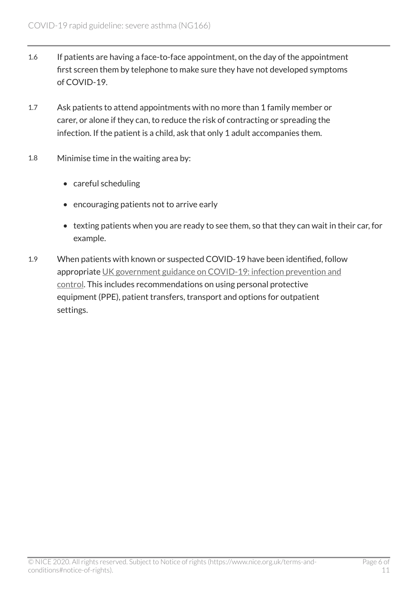- 1.6 If patients are having a face-to-face appointment, on the day of the appointment first screen them by telephone to make sure they have not developed symptoms of COVID-19.
- 1.7 Ask patients to attend appointments with no more than 1 family member or carer, or alone if they can, to reduce the risk of contracting or spreading the infection. If the patient is a child, ask that only 1 adult accompanies them.
- 1.8 Minimise time in the waiting area by:
	- careful scheduling
	- encouraging patients not to arrive early
	- texting patients when you are ready to see them, so that they can wait in their car, for example.
- 1.9 When patients with known or suspected COVID-19 have been identified, follow appropriate [UK government guidance on COVID-19: infection prevention and](https://www.gov.uk/government/publications/wuhan-novel-coronavirus-infection-prevention-and-control) [control](https://www.gov.uk/government/publications/wuhan-novel-coronavirus-infection-prevention-and-control). This includes recommendations on using personal protective equipment (PPE), patient transfers, transport and options for outpatient settings.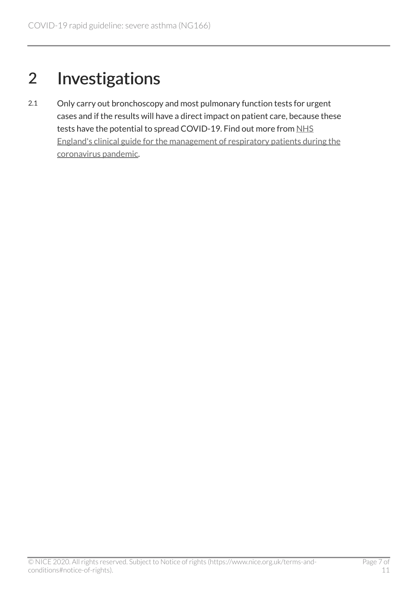## <span id="page-6-0"></span>2 Investigations

2.1 Only carry out bronchoscopy and most pulmonary function tests for urgent cases and if the results will have a direct impact on patient care, because these tests have the potential to spread COVID-19. Find out more from NHS [England's clinical guide for the management of respiratory patients during the](https://www.england.nhs.uk/coronavirus/wp-content/uploads/sites/52/2020/03/C0063-Specialty-guide-_Respiratory-and-Coronavirus-_v1_26-March.pdf) [coronavirus pandemic.](https://www.england.nhs.uk/coronavirus/wp-content/uploads/sites/52/2020/03/C0063-Specialty-guide-_Respiratory-and-Coronavirus-_v1_26-March.pdf)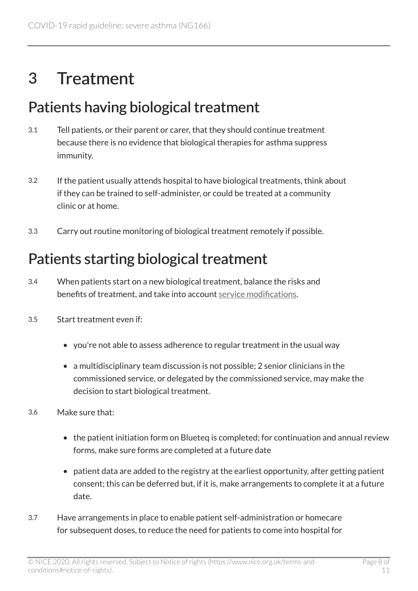#### <span id="page-7-0"></span>3 Treatment

#### <span id="page-7-1"></span>Patients having biological treatment

- 3.1 Tell patients, or their parent or carer, that they should continue treatment because there is no evidence that biological therapies for asthma suppress immunity.
- 3.2 If the patient usually attends hospital to have biological treatments, think about if they can be trained to self-administer, or could be treated at a community clinic or at home.
- 3.3 Carry out routine monitoring of biological treatment remotely if possible.

#### <span id="page-7-2"></span>Patients starting biological treatment

- 3.4 When patients start on a new biological treatment, balance the risks and benefits of treatment, and take into account [service modifications](#page-10-0).
- 3.5 Start treatment even if:
	- you're not able to assess adherence to regular treatment in the usual way
	- a multidisciplinary team discussion is not possible; 2 senior clinicians in the commissioned service, or delegated by the commissioned service, may make the decision to start biological treatment.
- 3.6 Make sure that:
	- the patient initiation form on Blueteq is completed; for continuation and annual review forms, make sure forms are completed at a future date
	- patient data are added to the registry at the earliest opportunity, after getting patient consent; this can be deferred but, if it is, make arrangements to complete it at a future date.
- 3.7 Have arrangements in place to enable patient self-administration or homecare for subsequent doses, to reduce the need for patients to come into hospital for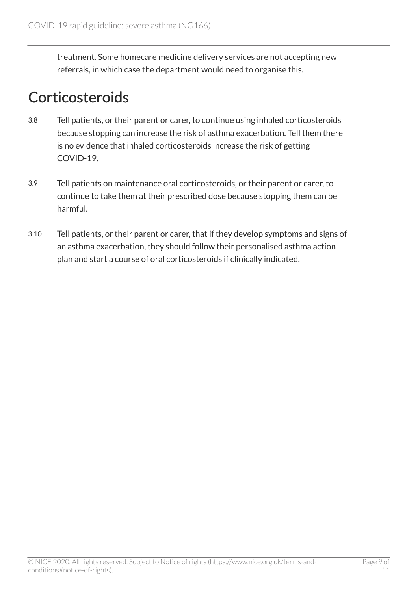treatment. Some homecare medicine delivery services are not accepting new referrals, in which case the department would need to organise this.

#### <span id="page-8-0"></span>**Corticosteroids**

- 3.8 Tell patients, or their parent or carer, to continue using inhaled corticosteroids because stopping can increase the risk of asthma exacerbation. Tell them there is no evidence that inhaled corticosteroids increase the risk of getting COVID-19.
- 3.9 Tell patients on maintenance oral corticosteroids, or their parent or carer, to continue to take them at their prescribed dose because stopping them can be harmful.
- 3.10 Tell patients, or their parent or carer, that if they develop symptoms and signs of an asthma exacerbation, they should follow their personalised asthma action plan and start a course of oral corticosteroids if clinically indicated.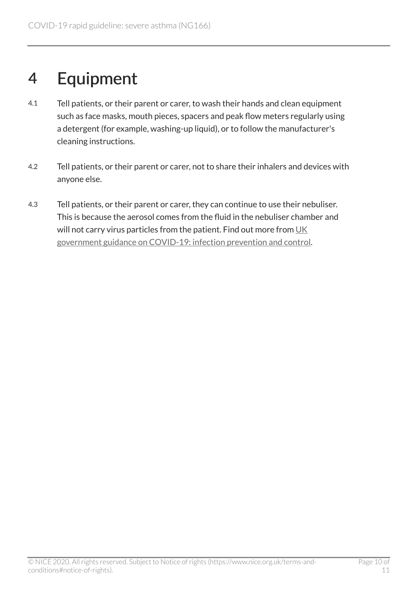### <span id="page-9-0"></span>4 Equipment

- 4.1 Tell patients, or their parent or carer, to wash their hands and clean equipment such as face masks, mouth pieces, spacers and peak flow meters regularly using a detergent (for example, washing-up liquid), or to follow the manufacturer's cleaning instructions.
- 4.2 Tell patients, or their parent or carer, not to share their inhalers and devices with anyone else.
- 4.3 Tell patients, or their parent or carer, they can continue to use their nebuliser. This is because the aerosol comes from the fluid in the nebuliser chamber and will not carry virus particles from the patient. Find out more from [UK](https://www.gov.uk/government/publications/wuhan-novel-coronavirus-infection-prevention-and-control) [government guidance on COVID-19: infection prevention and control.](https://www.gov.uk/government/publications/wuhan-novel-coronavirus-infection-prevention-and-control)